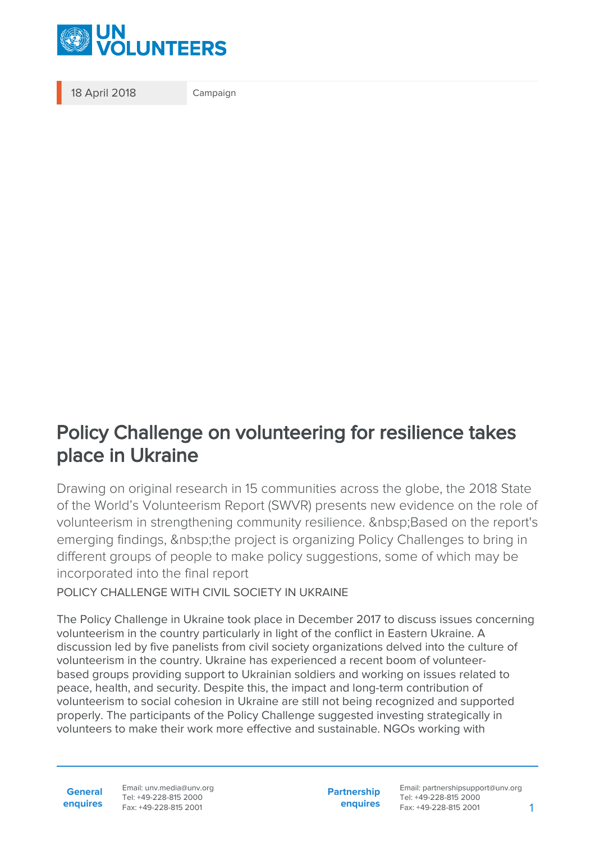

18 April 2018 Campaign

## Policy Challenge on volunteering for resilience takes place in Ukraine

Drawing on original research in 15 communities across the globe, the 2018 State of the World's Volunteerism Report (SWVR) presents new evidence on the role of volunteerism in strengthening community resilience. Based on the report's emerging findings, the project is organizing Policy Challenges to bring in different groups of people to make policy suggestions, some of which may be incorporated into the final report

POLICY CHALLENGE WITH CIVIL SOCIETY IN UKRAINE

The Policy Challenge in Ukraine took place in December 2017 to discuss issues concerning volunteerism in the country particularly in light of the conflict in Eastern Ukraine. A discussion led by five panelists from civil society organizations delved into the culture of volunteerism in the country. Ukraine has experienced a recent boom of volunteerbased groups providing support to Ukrainian soldiers and working on issues related to peace, health, and security. Despite this, the impact and long-term contribution of volunteerism to social cohesion in Ukraine are still not being recognized and supported properly. The participants of the Policy Challenge suggested investing strategically in volunteers to make their work more effective and sustainable. NGOs working with

**General enquires** Email: unv.media@unv.org Tel: +49-228-815 2000 Fax: +49-228-815 2001

**Partnership enquires**

Email: partnershipsupport@unv.org Tel: +49-228-815 2000 Fax: +49-228-815 2001 1